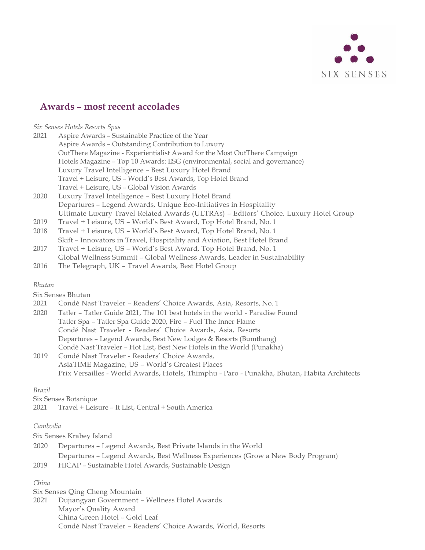

# **Awards** *–* **most recent accolades**

*Six Senses Hotels Resorts Spas*

| 2021 | Aspire Awards - Sustainable Practice of the Year                            |  |
|------|-----------------------------------------------------------------------------|--|
|      | Aspire Awards - Outstanding Contribution to Luxury                          |  |
|      | OutThere Magazine - Experientialist Award for the Most OutThere Campaign    |  |
|      | Hotels Magazine - Top 10 Awards: ESG (environmental, social and governance) |  |
|      | Luxury Travel Intelligence - Best Luxury Hotel Brand                        |  |
|      | Travel + Leisure, US - World's Best Awards, Top Hotel Brand                 |  |
|      | Travel + Leisure, US - Global Vision Awards                                 |  |
| 2020 | Luxury Travel Intelligence - Best Luxury Hotel Brand                        |  |
|      | Departures - Legend Awards, Unique Eco-Initiatives in Hospitality           |  |
|      |                                                                             |  |

- Ultimate Luxury Travel Related Awards (ULTRAs) Editors' Choice, Luxury Hotel Group
- 2019 Travel + Leisure, US World's Best Award, Top Hotel Brand, No. 1
- 2018 Travel + Leisure, US World's Best Award, Top Hotel Brand, No. 1 Skift – Innovators in Travel, Hospitality and Aviation, Best Hotel Brand
- 2017 Travel + Leisure, US – World's Best Award, Top Hotel Brand, No. 1
- Global Wellness Summit Global Wellness Awards, Leader in Sustainability
- 2016 The Telegraph, UK Travel Awards, Best Hotel Group

## *Bhutan*

Six Senses Bhutan

- 2021 Condé Nast Traveler Readers' Choice Awards, Asia, Resorts, No. 1
- 2020 Tatler Tatler Guide 2021, The 101 best hotels in the world Paradise Found Tatler Spa – Tatler Spa Guide 2020, Fire – Fuel The Inner Flame Condé Nast Traveler - Readers' Choice Awards, Asia, Resorts Departures – Legend Awards, Best New Lodges & Resorts (Bumthang) Condé Nast Traveler – Hot List, Best New Hotels in the World (Punakha)
- 2019 Condé Nast Traveler Readers' Choice Awards, AsiaTIME Magazine, US – World's Greatest Places Prix Versailles - World Awards, Hotels, Thimphu - Paro - Punakha, Bhutan, Habita Architects

## *Brazil*

Six Senses Botanique

2021 Travel + Leisure – It List, Central + South America

## *Cambodia*

Six Senses Krabey Island

| 2020 | Departures – Legend Awards, Best Private Islands in the World                                                                                                               |
|------|-----------------------------------------------------------------------------------------------------------------------------------------------------------------------------|
|      | Departures - Legend Awards, Best Wellness Experiences (Grow a New Body Program)                                                                                             |
|      | $0.010$ $\overline{110100}$ $\overline{0}$ $\overline{11111}$ $\overline{11}$ $\overline{11}$ $\overline{11}$ $\overline{0}$ $\overline{11}$ $\overline{11}$ $\overline{1}$ |

2019 HICAP – Sustainable Hotel Awards, Sustainable Design

# *China*

Six Senses Qing Cheng Mountain 2021 Dujiangyan Government – Wellness Hotel Awards Mayor's Quality Award China Green Hotel – Gold Leaf Condé Nast Traveler – Readers' Choice Awards, World, Resorts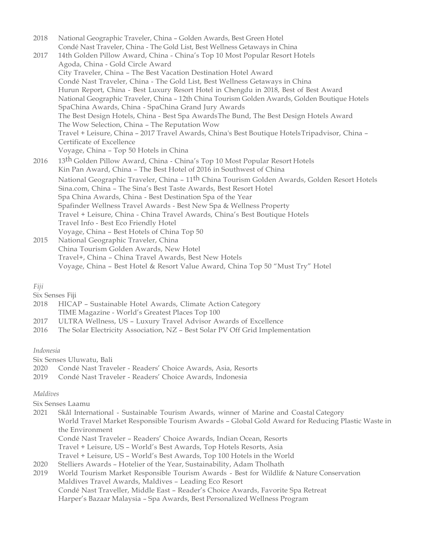2018 National Geographic Traveler, China – Golden Awards, Best Green Hotel Condé Nast Traveler, China - The Gold List, Best Wellness Getaways in China 2017 14th Golden Pillow Award, China - China's Top 10 Most Popular Resort Hotels Agoda, China - Gold Circle Award City Traveler, China – The Best Vacation Destination Hotel Award Condé Nast Traveler, China - The Gold List, Best Wellness Getaways in China Hurun Report, China - Best Luxury Resort Hotel in Chengdu in 2018, Best of Best Award National Geographic Traveler, China – 12th China Tourism Golden Awards, Golden Boutique Hotels SpaChina Awards, China - SpaChina Grand Jury Awards The Best Design Hotels, China - Best Spa AwardsThe Bund, The Best Design Hotels Award The Wow Selection, China – The Reputation Wow Travel + Leisure, China – 2017 Travel Awards, China's Best Boutique HotelsTripadvisor, China – Certificate of Excellence Voyage, China – Top 50 Hotels in China 2016 13<sup>th</sup> Golden Pillow Award, China - China's Top 10 Most Popular Resort Hotels Kin Pan Award, China – The Best Hotel of 2016 in Southwest of China National Geographic Traveler, China – 11<sup>th</sup> China Tourism Golden Awards, Golden Resort Hotels Sina.com, China – The Sina's Best Taste Awards, Best Resort Hotel Spa China Awards, China - Best Destination Spa of the Year Spafinder Wellness Travel Awards - Best New Spa & Wellness Property Travel + Leisure, China - China Travel Awards, China's Best Boutique Hotels Travel Info - Best Eco Friendly Hotel Voyage, China – Best Hotels of China Top 50 2015 National Geographic Traveler, China

China Tourism Golden Awards, New Hotel Travel+, China – China Travel Awards, Best New Hotels Voyage, China – Best Hotel & Resort Value Award, China Top 50 "Must Try" Hotel

## *Fiji*

Six Senses Fiji

- 2018 HICAP Sustainable Hotel Awards, Climate Action Category TIME Magazine - World's Greatest Places Top 100
- 2017 ULTRA Wellness, US Luxury Travel Advisor Awards of Excellence
- 2016 The Solar Electricity Association, NZ Best Solar PV Off Grid Implementation

## *Indonesia*

Six Senses Uluwatu, Bali

- 2020 Condé Nast Traveler Readers' Choice Awards, Asia, Resorts
- 2019 Condé Nast Traveler Readers' Choice Awards, Indonesia

## *Maldives*

Six Senses Laamu

- 2021 Skål International Sustainable Tourism Awards, winner of Marine and Coastal Category World Travel Market Responsible Tourism Awards – Global Gold Award for Reducing Plastic Waste in the Environment Condé Nast Traveler – Readers' Choice Awards, Indian Ocean, Resorts Travel + Leisure, US – World's Best Awards, Top Hotels Resorts, Asia Travel + Leisure, US – World's Best Awards, Top 100 Hotels in the World 2020 Stelliers Awards – Hotelier of the Year, Sustainability, Adam Tholhath
- 2019 World Tourism Market Responsible Tourism Awards Best for Wildlife & Nature Conservation Maldives Travel Awards, Maldives – Leading Eco Resort Condé Nast Traveller, Middle East – Reader's Choice Awards, Favorite Spa Retreat Harper's Bazaar Malaysia – Spa Awards, Best Personalized Wellness Program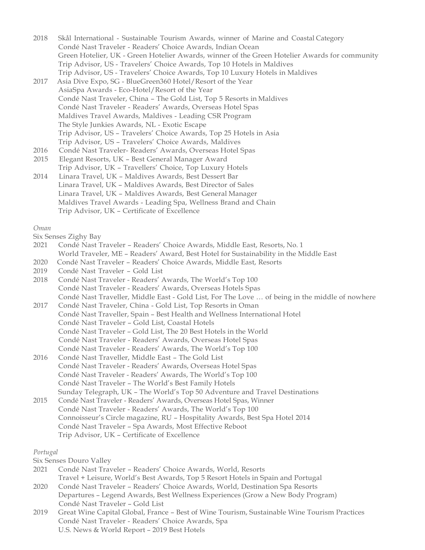2018 Skål International - Sustainable Tourism Awards, winner of Marine and Coastal Category Condé Nast Traveler - Readers' Choice Awards, Indian Ocean Green Hotelier, UK - Green Hotelier Awards, winner of the Green Hotelier Awards for community Trip Advisor, US - Travelers' Choice Awards, Top 10 Hotels in Maldives Trip Advisor, US - Travelers' Choice Awards, Top 10 Luxury Hotels in Maldives

- 2017 Asia Dive Expo, SG BlueGreen360 Hotel/Resort of the Year AsiaSpa Awards - Eco-Hotel/Resort of the Year Condé Nast Traveler, China – The Gold List, Top 5 Resorts in Maldives Condé Nast Traveler - Readers' Awards, Overseas Hotel Spas Maldives Travel Awards, Maldives - Leading CSR Program The Style Junkies Awards, NL - Exotic Escape Trip Advisor, US – Travelers' Choice Awards, Top 25 Hotels in Asia Trip Advisor, US – Travelers' Choice Awards, Maldives
- 2016 Condé Nast Traveler- Readers' Awards, Overseas Hotel Spas
- 2015 Elegant Resorts, UK Best General Manager Award Trip Advisor, UK – Travellers' Choice, Top Luxury Hotels 2014 Linara Travel, UK – Maldives Awards, Best Dessert Bar
- Linara Travel, UK Maldives Awards, Best Director of Sales Linara Travel, UK – Maldives Awards, Best General Manager Maldives Travel Awards - Leading Spa, Wellness Brand and Chain Trip Advisor, UK – Certificate of Excellence

*Oman*

Six Senses Zighy Bay

- 2021 Condé Nast Traveler Readers' Choice Awards, Middle East, Resorts, No. 1 World Traveler, ME – Readers' Award, Best Hotel for Sustainability in the Middle East
- 2020 Condé Nast Traveler Readers' Choice Awards, Middle East, Resorts
- 2019 Condé Nast Traveler Gold List
- 2018 Condé Nast Traveler Readers' Awards, The World's Top 100 Condé Nast Traveler - Readers' Awards, Overseas Hotels Spas Condé Nast Traveller, Middle East - Gold List, For The Love … of being in the middle of nowhere
- 2017 Condé Nast Traveler, China Gold List, Top Resorts in Oman Condé Nast Traveller, Spain – Best Health and Wellness International Hotel Condé Nast Traveler – Gold List, Coastal Hotels Condé Nast Traveler – Gold List, The 20 Best Hotels in the World Condé Nast Traveler - Readers' Awards, Overseas Hotel Spas Condé Nast Traveler - Readers' Awards, The World's Top 100
- 2016 Condé Nast Traveller, Middle East The Gold List Condé Nast Traveler - Readers' Awards, Overseas Hotel Spas Condé Nast Traveler - Readers' Awards, The World's Top 100 Condé Nast Traveler – The World's Best Family Hotels Sunday Telegraph, UK – The World's Top 50 Adventure and Travel Destinations
- 2015 Condé Nast Traveler Readers' Awards, Overseas Hotel Spas, Winner Condé Nast Traveler - Readers' Awards, The World's Top 100 Connoisseur's Circle magazine, RU – Hospitality Awards, Best Spa Hotel 2014 Condé Nast Traveler – Spa Awards, Most Effective Reboot Trip Advisor, UK – Certificate of Excellence

*Portugal*

Six Senses Douro Valley

- 2021 Condé Nast Traveler Readers' Choice Awards, World, Resorts Travel + Leisure, World's Best Awards, Top 5 Resort Hotels in Spain and Portugal
- 2020 Condé Nast Traveler Readers' Choice Awards, World, Destination Spa Resorts Departures – Legend Awards, Best Wellness Experiences (Grow a New Body Program) Condé Nast Traveler – Gold List
- 2019 Great Wine Capital Global, France Best of Wine Tourism, Sustainable Wine Tourism Practices Condé Nast Traveler - Readers' Choice Awards, Spa U.S. News & World Report – 2019 Best Hotels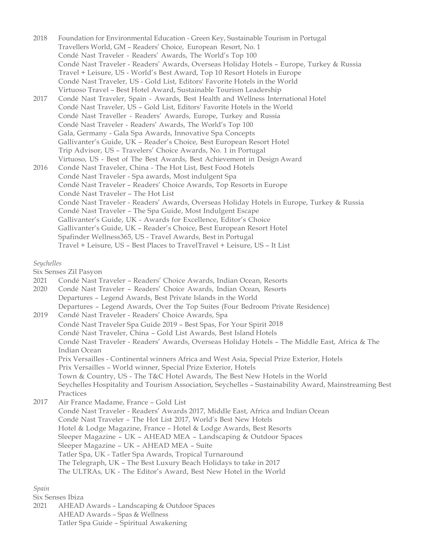2018 Foundation for Environmental Education - Green Key, Sustainable Tourism in Portugal Travellers World, GM – Readers' Choice, European Resort, No. 1 Condé Nast Traveler - Readers' Awards, The World's Top 100 Condé Nast Traveler - Readers' Awards, Overseas Holiday Hotels – Europe, Turkey & Russia Travel + Leisure, US - World's Best Award, Top 10 Resort Hotels in Europe Condé Nast Traveler, US - Gold List, Editors' Favorite Hotels in the World Virtuoso Travel – Best Hotel Award, Sustainable Tourism Leadership 2017 Condé Nast Traveler, Spain - Awards, Best Health and Wellness International Hotel Condé Nast Traveler, US – Gold List, Editors' Favorite Hotels in the World Condé Nast Traveller - Readers' Awards, Europe, Turkey and Russia Condé Nast Traveler - Readers' Awards, The World's Top 100 Gala, Germany - Gala Spa Awards, Innovative Spa Concepts Gallivanter's Guide, UK – Reader's Choice, Best European Resort Hotel Trip Advisor, US – Travelers' Choice Awards, No. 1 in Portugal Virtuoso, US - Best of The Best Awards, Best Achievement in Design Award 2016 Condé Nast Traveler, China - The Hot List, Best Food Hotels Condé Nast Traveler - Spa awards, Most indulgent Spa Condé Nast Traveler – Readers' Choice Awards, Top Resorts in Europe Condé Nast Traveler – The Hot List Condé Nast Traveler - Readers' Awards, Overseas Holiday Hotels in Europe, Turkey & Russia Condé Nast Traveler – The Spa Guide, Most Indulgent Escape Gallivanter's Guide, UK - Awards for Excellence, Editor's Choice Gallivanter's Guide, UK – Reader's Choice, Best European Resort Hotel Spafinder Wellness365, US - Travel Awards, Best in Portugal Travel + Leisure, US – Best Places to TravelTravel + Leisure, US – It List

*Seychelles*

Six Senses Zil Pasyon

- 2021 Condé Nast Traveler Readers' Choice Awards, Indian Ocean, Resorts
- 2020 Condé Nast Traveler Readers' Choice Awards, Indian Ocean, Resorts Departures – Legend Awards, Best Private Islands in the World Departures – Legend Awards, Over the Top Suites (Four Bedroom Private Residence) 2019 Condé Nast Traveler - Readers' Choice Awards, Spa
- Condé Nast Traveler Spa Guide 2019 Best Spas, For Your Spirit 2018 Condé Nast Traveler, China – Gold List Awards, Best Island Hotels Condé Nast Traveler - Readers' Awards, Overseas Holiday Hotels – The Middle East, Africa & The Indian Ocean Prix Versailles - Continental winners Africa and West Asia, Special Prize Exterior, Hotels Prix Versailles – World winner, Special Prize Exterior, Hotels Town & Country, US - The T&C Hotel Awards, The Best New Hotels in the World Seychelles Hospitality and Tourism Association, Seychelles – Sustainability Award, Mainstreaming Best Practices
- 2017 Air France Madame, France Gold List Condé Nast Traveler - Readers' Awards 2017, Middle East, Africa and Indian Ocean Condé Nast Traveler – The Hot List 2017, World's Best New Hotels Hotel & Lodge Magazine, France – Hotel & Lodge Awards, Best Resorts Sleeper Magazine – UK – AHEAD MEA – Landscaping & Outdoor Spaces Sleeper Magazine – UK – AHEAD MEA – Suite Tatler Spa, UK - Tatler Spa Awards, Tropical Turnaround The Telegraph, UK – The Best Luxury Beach Holidays to take in 2017 The ULTRAs, UK - The Editor's Award, Best New Hotel in the World

*Spain*

Six Senses Ibiza

2021 AHEAD Awards – Landscaping & Outdoor Spaces AHEAD Awards – Spas & Wellness Tatler Spa Guide – Spiritual Awakening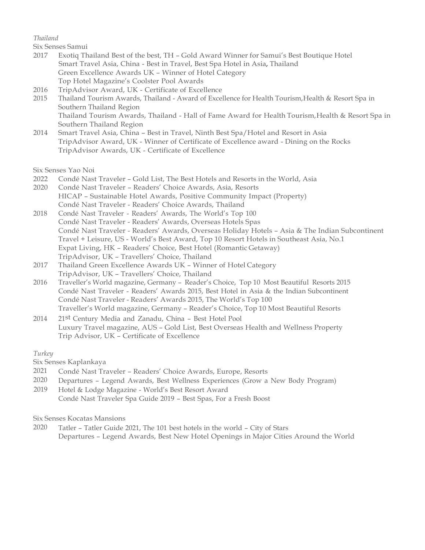## *Thailand*

Six Senses Samui

- 2017 Exotiq Thailand Best of the best, TH Gold Award Winner for Samui's Best Boutique Hotel Smart Travel Asia, China - Best in Travel, Best Spa Hotel in Asia, Thailand Green Excellence Awards UK – Winner of Hotel Category Top Hotel Magazine's Coolster Pool Awards
- 2016 TripAdvisor Award, UK Certificate of Excellence
- 2015 Thailand Tourism Awards, Thailand Award of Excellence for Health Tourism,Health & Resort Spa in Southern Thailand Region Thailand Tourism Awards, Thailand - Hall of Fame Award for Health Tourism,Health & Resort Spa in Southern Thailand Region
- 2014 Smart Travel Asia, China Best in Travel, Ninth Best Spa/Hotel and Resort in Asia TripAdvisor Award, UK - Winner of Certificate of Excellence award - Dining on the Rocks TripAdvisor Awards, UK - Certificate of Excellence

Six Senses Yao Noi

- 2022 Condé Nast Traveler Gold List, The Best Hotels and Resorts in the World, Asia
- 2020 Condé Nast Traveler Readers' Choice Awards, Asia, Resorts HICAP – Sustainable Hotel Awards, Positive Community Impact (Property) Condé Nast Traveler - Readers' Choice Awards, Thailand
- 2018 Condé Nast Traveler Readers' Awards, The World's Top 100 Condé Nast Traveler - Readers' Awards, Overseas Hotels Spas Condé Nast Traveler - Readers' Awards, Overseas Holiday Hotels – Asia & The Indian Subcontinent Travel + Leisure, US - World's Best Award, Top 10 Resort Hotels in Southeast Asia, No.1 Expat Living, HK – Readers' Choice, Best Hotel (Romantic Getaway) TripAdvisor, UK – Travellers' Choice, Thailand
- 2017 Thailand Green Excellence Awards UK Winner of Hotel Category TripAdvisor, UK – Travellers' Choice, Thailand
- 2016 Traveller's World magazine, Germany Reader's Choice, Top 10 Most Beautiful Resorts 2015 Condé Nast Traveler - Readers' Awards 2015, Best Hotel in Asia & the Indian Subcontinent Condé Nast Traveler - Readers' Awards 2015, The World's Top 100 Traveller's World magazine, Germany – Reader's Choice, Top 10 Most Beautiful Resorts
- 2014 21st Century Media and Zanadu, China Best Hotel Pool Luxury Travel magazine, AUS – Gold List, Best Overseas Health and Wellness Property Trip Advisor, UK – Certificate of Excellence

*Turkey*

Six Senses Kaplankaya

- 2021 Condé Nast Traveler Readers' Choice Awards, Europe, Resorts
- 2020 Departures Legend Awards, Best Wellness Experiences (Grow a New Body Program)
- 2019 Hotel & Lodge Magazine World's Best Resort Award Condé Nast Traveler Spa Guide 2019 – Best Spas, For a Fresh Boost

Six Senses Kocatas Mansions

2020 Tatler – Tatler Guide 2021, The 101 best hotels in the world – City of Stars Departures – Legend Awards, Best New Hotel Openings in Major Cities Around the World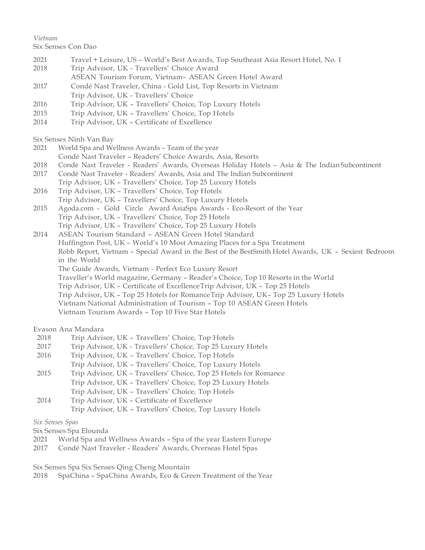## *Vietnam*

Six Senses Con Dao

- 2021 Travel + Leisure, US – World's Best Awards, Top Southeast Asia Resort Hotel, No. 1
- 2018 Trip Advisor, UK - Travellers' Choice Award
- ASEAN Tourism Forum, Vietnam– ASEAN Green Hotel Award
- 2017 Condé Nast Traveler, China Gold List, Top Resorts in Vietnam
- Trip Advisor, UK Travellers' Choice
- 2016 Trip Advisor, UK Travellers' Choice, Top Luxury Hotels
- 2015 Trip Advisor, UK Travellers' Choice, Top Hotels
- 2014 Trip Advisor, UK Certificate of Excellence

Six Senses Ninh Van Bay

- 2021 World Spa and Wellness Awards Team of the year
- Condé Nast Traveler Readers' Choice Awards, Asia, Resorts
- 2018 Condé Nast Traveler Readers' Awards, Overseas Holiday Hotels Asia & The Indian Subcontinent
- 2017 Condé Nast Traveler Readers' Awards, Asia and The Indian Subcontinent
- Trip Advisor, UK Travellers' Choice, Top 25 Luxury Hotels
- 2016 Trip Advisor, UK Travellers' Choice, Top Hotels Trip Advisor, UK – Travellers' Choice, Top Luxury Hotels
- 2015 Agoda.com Gold Circle Award AsiaSpa Awards Eco-Resort of the Year Trip Advisor, UK – Travellers' Choice, Top 25 Hotels Trip Advisor, UK – Travellers' Choice, Top 25 Luxury Hotels

2014 ASEAN Tourism Standard – ASEAN Green Hotel Standard Huffington Post, UK – World's 10 Most Amazing Places for a Spa Treatment Robb Report, Vietnam – Special Award in the Best of the BestSmith Hotel Awards, UK – Sexiest Bedroom in the World The Guide Awards, Vietnam - Perfect Eco Luxury Resort Traveller's World magazine, Germany – Reader's Choice, Top 10 Resorts in the World Trip Advisor, UK – Certificate of ExcellenceTrip Advisor, UK – Top 25 Hotels Trip Advisor, UK – Top 25 Hotels for RomanceTrip Advisor, UK– Top 25 Luxury Hotels Vietnam National Administration of Tourism – Top 10 ASEAN Green Hotels

Vietnam Tourism Awards – Top 10 Five Star Hotels

# Evason Ana Mandara

- 2018 Trip Advisor, UK Travellers' Choice, Top Hotels
- 2017 Trip Advisor, UK Travellers' Choice, Top 25 Luxury Hotels
- 2016 Trip Advisor, UK Travellers' Choice, Top Hotels
- Trip Advisor, UK Travellers' Choice, Top Luxury Hotels
- 2015 Trip Advisor, UK Travellers' Choice, Top 25 Hotels for Romance Trip Advisor, UK – Travellers' Choice, Top 25 Luxury Hotels Trip Advisor, UK – Travellers' Choice, Top Hotels
- 2014 Trip Advisor, UK Certificate of Excellence Trip Advisor, UK – Travellers' Choice, Top Luxury Hotels

*Six Senses Spas*

Six Senses Spa Elounda

- 2021 World Spa and Wellness Awards Spa of the year Eastern Europe
- 2017 Condé Nast Traveler Readers' Awards, Overseas Hotel Spas

Six Senses Spa Six Senses Qing Cheng Mountain

2018 SpaChina – SpaChina Awards, Eco & Green Treatment of the Year